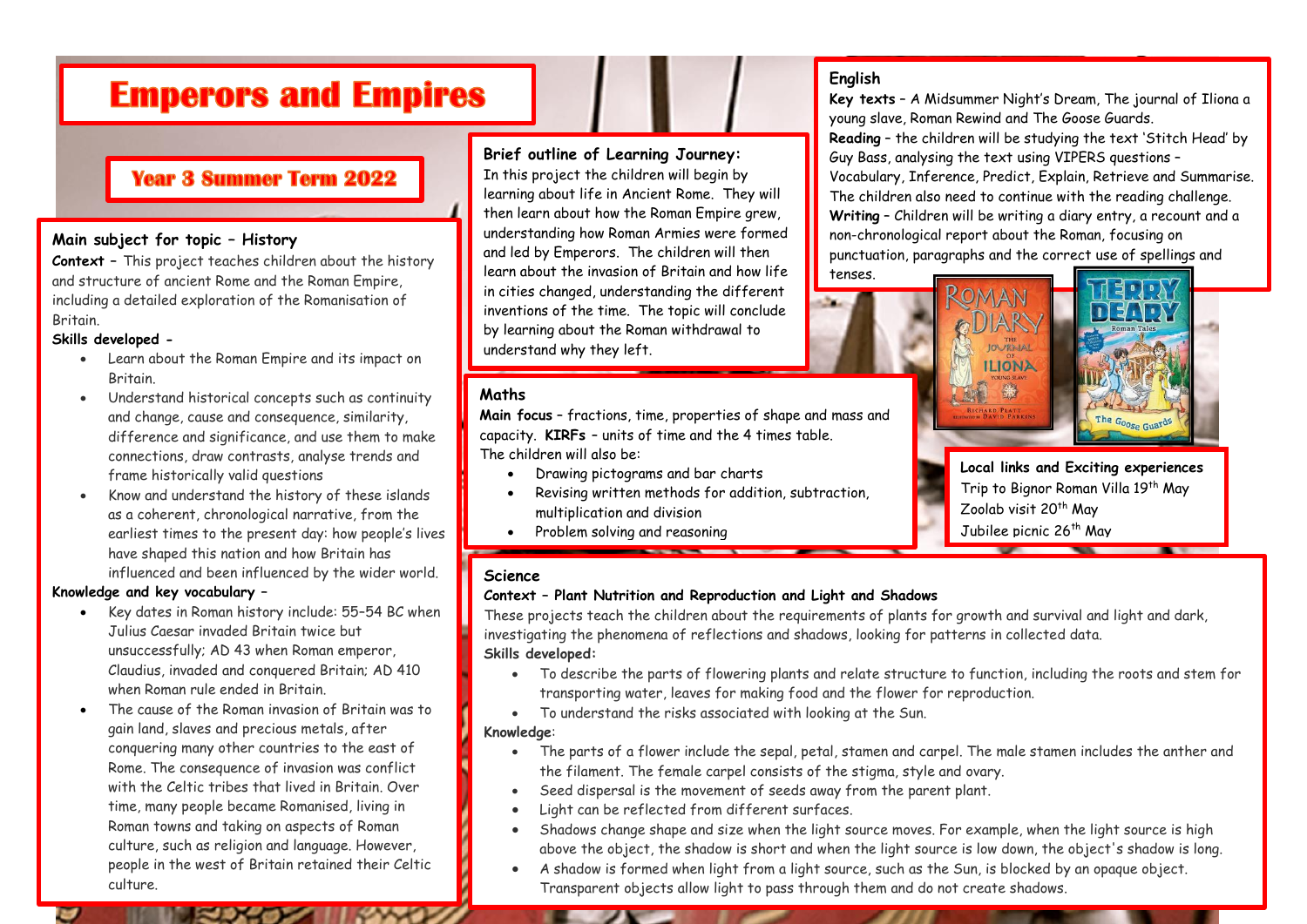# **Emperors and Empires**

# **Year 3 Summer Term 2022**

### **Main subject for topic – History**

**Context –** This project teaches children about the history and structure of ancient Rome and the Roman Empire, including a detailed exploration of the Romanisation of Britain.

### **Skills developed -**

- Learn about the Roman Empire and its impact on Britain.
- Understand historical concepts such as continuity and change, cause and consequence, similarity, difference and significance, and use them to make connections, draw contrasts, analyse trends and frame historically valid questions
- Know and understand the history of these islands as a coherent, chronological narrative, from the earliest times to the present day: how people's lives have shaped this nation and how Britain has influenced and been influenced by the wider world.

#### **Knowledge and key vocabulary –**

- Key dates in Roman history include: 55–54 BC when Julius Caesar invaded Britain twice but unsuccessfully; AD 43 when Roman emperor, Claudius, invaded and conquered Britain; AD 410 when Roman rule ended in Britain.
- The cause of the Roman invasion of Britain was to gain land, slaves and precious metals, after conquering many other countries to the east of Rome. The consequence of invasion was conflict with the Celtic tribes that lived in Britain. Over time, many people became Romanised, living in Roman towns and taking on aspects of Roman culture, such as religion and language. However, people in the west of Britain retained their Celtic culture.

### **Brief outline of Learning Journey:**

In this project the children will begin by learning about life in Ancient Rome. They will then learn about how the Roman Empire grew, understanding how Roman Armies were formed and led by Emperors. The children will then learn about the invasion of Britain and how life in cities changed, understanding the different inventions of the time. The topic will conclude by learning about the Roman withdrawal to understand why they left.

### **Maths**

**Main focus** – fractions, time, properties of shape and mass and capacity. **KIRFs** – units of time and the 4 times table. The children will also be:

- Drawing pictograms and bar charts
- Revising written methods for addition, subtraction, multiplication and division
- Problem solving and reasoning

### **English**

**Key texts** – A Midsummer Night's Dream, The journal of Iliona a young slave, Roman Rewind and The Goose Guards. **Reading** – the children will be studying the text 'Stitch Head' by Guy Bass, analysing the text using VIPERS questions – Vocabulary, Inference, Predict, Explain, Retrieve and Summarise. The children also need to continue with the reading challenge. **Writing** – Children will be writing a diary entry, a recount and a non-chronological report about the Roman, focusing on punctuation, paragraphs and the correct use of spellings and tenses.

# ROMAN **IAR JOURNAL ILIONA** 缘



**Local links and Exciting experiences** Trip to Bignor Roman Villa 19th May Zoolab visit 20<sup>th</sup> May Jubilee picnic 26<sup>th</sup> May

### **Science**

### **Context – Plant Nutrition and Reproduction and Light and Shadows**

These projects teach the children about the requirements of plants for growth and survival and light and dark, investigating the phenomena of reflections and shadows, looking for patterns in collected data. **Skills developed:**

- To describe the parts of flowering plants and relate structure to function, including the roots and stem for transporting water, leaves for making food and the flower for reproduction.
- To understand the risks associated with looking at the Sun.

#### **Knowledge**:

- The parts of a flower include the sepal, petal, stamen and carpel. The male stamen includes the anther and the filament. The female carpel consists of the stigma, style and ovary.
- Seed dispersal is the movement of seeds away from the parent plant.
- Light can be reflected from different surfaces.
- Shadows change shape and size when the light source moves. For example, when the light source is high above the object, the shadow is short and when the light source is low down, the object's shadow is long.
- A shadow is formed when light from a light source, such as the Sun, is blocked by an opaque object. Transparent objects allow light to pass through them and do not create shadows.